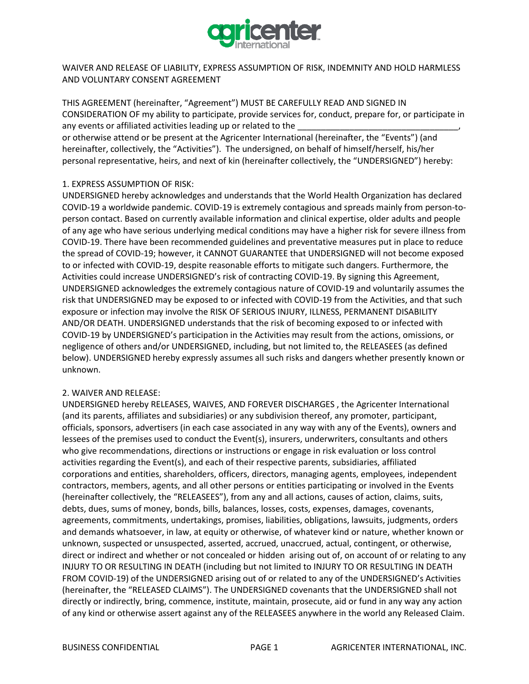

WAIVER AND RELEASE OF LIABILITY, EXPRESS ASSUMPTION OF RISK, INDEMNITY AND HOLD HARMLESS AND VOLUNTARY CONSENT AGREEMENT

THIS AGREEMENT (hereinafter, "Agreement") MUST BE CAREFULLY READ AND SIGNED IN CONSIDERATION OF my ability to participate, provide services for, conduct, prepare for, or participate in any events or affiliated activities leading up or related to the

or otherwise attend or be present at the Agricenter International (hereinafter, the "Events") (and hereinafter, collectively, the "Activities"). The undersigned, on behalf of himself/herself, his/her personal representative, heirs, and next of kin (hereinafter collectively, the "UNDERSIGNED") hereby:

## 1. EXPRESS ASSUMPTION OF RISK:

UNDERSIGNED hereby acknowledges and understands that the World Health Organization has declared COVID-19 a worldwide pandemic. COVID-19 is extremely contagious and spreads mainly from person-toperson contact. Based on currently available information and clinical expertise, older adults and people of any age who have serious underlying medical conditions may have a higher risk for severe illness from COVID-19. There have been recommended guidelines and preventative measures put in place to reduce the spread of COVID-19; however, it CANNOT GUARANTEE that UNDERSIGNED will not become exposed to or infected with COVID-19, despite reasonable efforts to mitigate such dangers. Furthermore, the Activities could increase UNDERSIGNED's risk of contracting COVID-19. By signing this Agreement, UNDERSIGNED acknowledges the extremely contagious nature of COVID-19 and voluntarily assumes the risk that UNDERSIGNED may be exposed to or infected with COVID-19 from the Activities, and that such exposure or infection may involve the RISK OF SERIOUS INJURY, ILLNESS, PERMANENT DISABILITY AND/OR DEATH. UNDERSIGNED understands that the risk of becoming exposed to or infected with COVID-19 by UNDERSIGNED's participation in the Activities may result from the actions, omissions, or negligence of others and/or UNDERSIGNED, including, but not limited to, the RELEASEES (as defined below). UNDERSIGNED hereby expressly assumes all such risks and dangers whether presently known or unknown.

## 2. WAIVER AND RELEASE:

UNDERSIGNED hereby RELEASES, WAIVES, AND FOREVER DISCHARGES , the Agricenter International (and its parents, affiliates and subsidiaries) or any subdivision thereof, any promoter, participant, officials, sponsors, advertisers (in each case associated in any way with any of the Events), owners and lessees of the premises used to conduct the Event(s), insurers, underwriters, consultants and others who give recommendations, directions or instructions or engage in risk evaluation or loss control activities regarding the Event(s), and each of their respective parents, subsidiaries, affiliated corporations and entities, shareholders, officers, directors, managing agents, employees, independent contractors, members, agents, and all other persons or entities participating or involved in the Events (hereinafter collectively, the "RELEASEES"), from any and all actions, causes of action, claims, suits, debts, dues, sums of money, bonds, bills, balances, losses, costs, expenses, damages, covenants, agreements, commitments, undertakings, promises, liabilities, obligations, lawsuits, judgments, orders and demands whatsoever, in law, at equity or otherwise, of whatever kind or nature, whether known or unknown, suspected or unsuspected, asserted, accrued, unaccrued, actual, contingent, or otherwise, direct or indirect and whether or not concealed or hidden arising out of, on account of or relating to any INJURY TO OR RESULTING IN DEATH (including but not limited to INJURY TO OR RESULTING IN DEATH FROM COVID-19) of the UNDERSIGNED arising out of or related to any of the UNDERSIGNED's Activities (hereinafter, the "RELEASED CLAIMS"). The UNDERSIGNED covenants that the UNDERSIGNED shall not directly or indirectly, bring, commence, institute, maintain, prosecute, aid or fund in any way any action of any kind or otherwise assert against any of the RELEASEES anywhere in the world any Released Claim.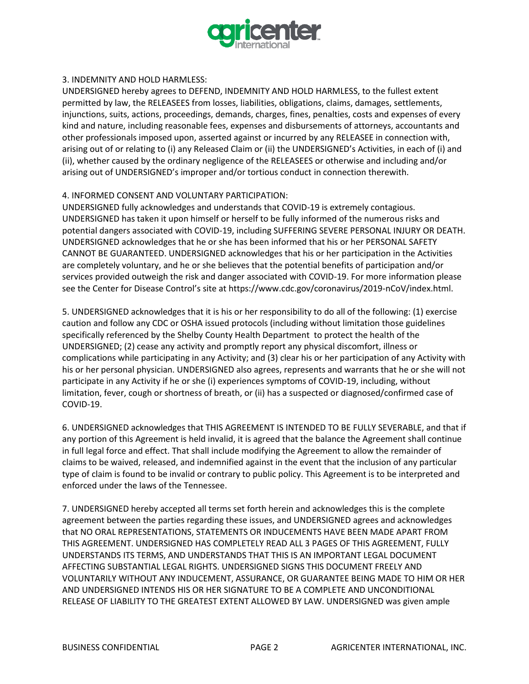

## 3. INDEMNITY AND HOLD HARMLESS:

UNDERSIGNED hereby agrees to DEFEND, INDEMNITY AND HOLD HARMLESS, to the fullest extent permitted by law, the RELEASEES from losses, liabilities, obligations, claims, damages, settlements, injunctions, suits, actions, proceedings, demands, charges, fines, penalties, costs and expenses of every kind and nature, including reasonable fees, expenses and disbursements of attorneys, accountants and other professionals imposed upon, asserted against or incurred by any RELEASEE in connection with, arising out of or relating to (i) any Released Claim or (ii) the UNDERSIGNED's Activities, in each of (i) and (ii), whether caused by the ordinary negligence of the RELEASEES or otherwise and including and/or arising out of UNDERSIGNED's improper and/or tortious conduct in connection therewith.

## 4. INFORMED CONSENT AND VOLUNTARY PARTICIPATION:

UNDERSIGNED fully acknowledges and understands that COVID-19 is extremely contagious. UNDERSIGNED has taken it upon himself or herself to be fully informed of the numerous risks and potential dangers associated with COVID-19, including SUFFERING SEVERE PERSONAL INJURY OR DEATH. UNDERSIGNED acknowledges that he or she has been informed that his or her PERSONAL SAFETY CANNOT BE GUARANTEED. UNDERSIGNED acknowledges that his or her participation in the Activities are completely voluntary, and he or she believes that the potential benefits of participation and/or services provided outweigh the risk and danger associated with COVID-19. For more information please see the Center for Disease Control's site at https://www.cdc.gov/coronavirus/2019-nCoV/index.html.

5. UNDERSIGNED acknowledges that it is his or her responsibility to do all of the following: (1) exercise caution and follow any CDC or OSHA issued protocols (including without limitation those guidelines specifically referenced by the Shelby County Health Department to protect the health of the UNDERSIGNED; (2) cease any activity and promptly report any physical discomfort, illness or complications while participating in any Activity; and (3) clear his or her participation of any Activity with his or her personal physician. UNDERSIGNED also agrees, represents and warrants that he or she will not participate in any Activity if he or she (i) experiences symptoms of COVID-19, including, without limitation, fever, cough or shortness of breath, or (ii) has a suspected or diagnosed/confirmed case of COVID-19.

6. UNDERSIGNED acknowledges that THIS AGREEMENT IS INTENDED TO BE FULLY SEVERABLE, and that if any portion of this Agreement is held invalid, it is agreed that the balance the Agreement shall continue in full legal force and effect. That shall include modifying the Agreement to allow the remainder of claims to be waived, released, and indemnified against in the event that the inclusion of any particular type of claim is found to be invalid or contrary to public policy. This Agreement is to be interpreted and enforced under the laws of the Tennessee.

7. UNDERSIGNED hereby accepted all terms set forth herein and acknowledges this is the complete agreement between the parties regarding these issues, and UNDERSIGNED agrees and acknowledges that NO ORAL REPRESENTATIONS, STATEMENTS OR INDUCEMENTS HAVE BEEN MADE APART FROM THIS AGREEMENT. UNDERSIGNED HAS COMPLETELY READ ALL 3 PAGES OF THIS AGREEMENT, FULLY UNDERSTANDS ITS TERMS, AND UNDERSTANDS THAT THIS IS AN IMPORTANT LEGAL DOCUMENT AFFECTING SUBSTANTIAL LEGAL RIGHTS. UNDERSIGNED SIGNS THIS DOCUMENT FREELY AND VOLUNTARILY WITHOUT ANY INDUCEMENT, ASSURANCE, OR GUARANTEE BEING MADE TO HIM OR HER AND UNDERSIGNED INTENDS HIS OR HER SIGNATURE TO BE A COMPLETE AND UNCONDITIONAL RELEASE OF LIABILITY TO THE GREATEST EXTENT ALLOWED BY LAW. UNDERSIGNED was given ample